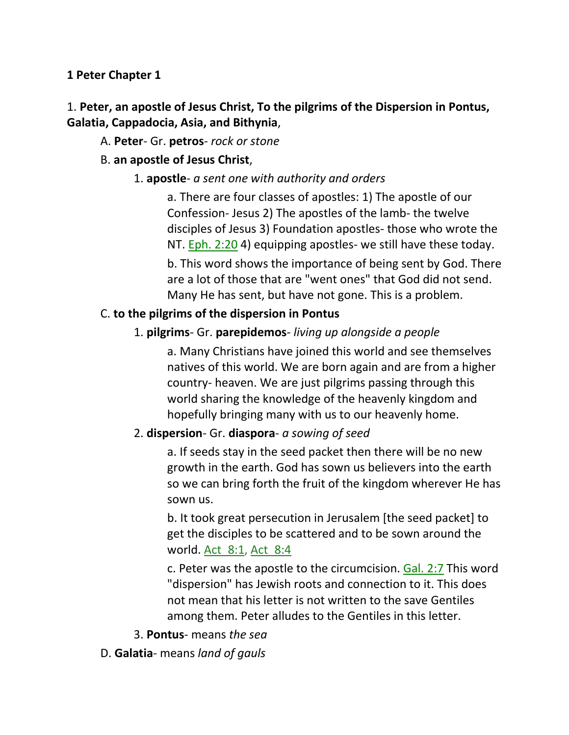### **1 Peter Chapter 1**

## 1. **Peter, an apostle of Jesus Christ, To the pilgrims of the Dispersion in Pontus, Galatia, Cappadocia, Asia, and Bithynia**,

### A. **Peter**- Gr. **petros**- *rock or stone*

### B. **an apostle of Jesus Christ**,

### 1. **apostle**- *a sent one with authority and orders*

a. There are four classes of apostles: 1) The apostle of our Confession- Jesus 2) The apostles of the lamb- the twelve disciples of Jesus 3) Foundation apostles- those who wrote the NT.  $Eph. 2:20$  4) equipping apostles- we still have these today. b. This word shows the importance of being sent by God. There are a lot of those that are "went ones" that God did not send. Many He has sent, but have not gone. This is a problem.

### C. **to the pilgrims of the dispersion in Pontus**

### 1. **pilgrims**- Gr. **parepidemos**- *living up alongside a people*

a. Many Christians have joined this world and see themselves natives of this world. We are born again and are from a higher country- heaven. We are just pilgrims passing through this world sharing the knowledge of the heavenly kingdom and hopefully bringing many with us to our heavenly home.

### 2. **dispersion**- Gr. **diaspora**- *a sowing of seed*

a. If seeds stay in the seed packet then there will be no new growth in the earth. God has sown us believers into the earth so we can bring forth the fruit of the kingdom wherever He has sown us.

b. It took great persecution in Jerusalem [the seed packet] to get the disciples to be scattered and to be sown around the world. <u>Act 8:1</u>, Act 8:4

c. Peter was the apostle to the circumcision. Gal. 2:7 This word "dispersion" has Jewish roots and connection to it. This does not mean that his letter is not written to the save Gentiles among them. Peter alludes to the Gentiles in this letter.

- 3. **Pontus** means *the sea*
- D. **Galatia** means *land of gauls*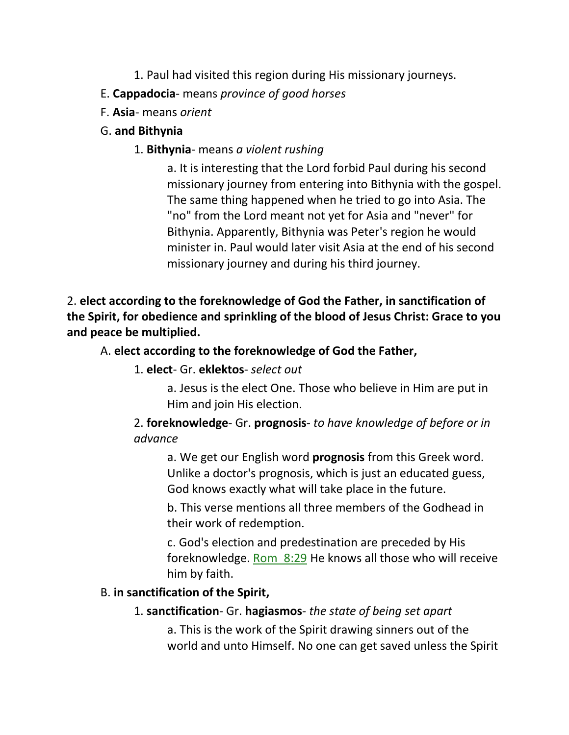- 1. Paul had visited this region during His missionary journeys.
- E. **Cappadocia** means *province of good horses*
- F. **Asia** means *orient*
- G. **and Bithynia**
	- 1. **Bithynia** means *a violent rushing*

a. It is interesting that the Lord forbid Paul during his second missionary journey from entering into Bithynia with the gospel. The same thing happened when he tried to go into Asia. The "no" from the Lord meant not yet for Asia and "never" for Bithynia. Apparently, Bithynia was Peter's region he would minister in. Paul would later visit Asia at the end of his second missionary journey and during his third journey.

2. **elect according to the foreknowledge of God the Father, in sanctification of the Spirit, for obedience and sprinkling of the blood of Jesus Christ: Grace to you and peace be multiplied.** 

## A. **elect according to the foreknowledge of God the Father,**

- 1. **elect** Gr. **eklektos** *select out*
	- a. Jesus is the elect One. Those who believe in Him are put in Him and join His election.

# 2. **foreknowledge**- Gr. **prognosis**- *to have knowledge of before or in advance*

a. We get our English word **prognosis** from this Greek word. Unlike a doctor's prognosis, which is just an educated guess, God knows exactly what will take place in the future.

b. This verse mentions all three members of the Godhead in their work of redemption.

c. God's election and predestination are preceded by His foreknowledge. Rom\_8:29 He knows all those who will receive him by faith.

# B. **in sanctification of the Spirit,**

1. **sanctification**- Gr. **hagiasmos**- *the state of being set apart*

a. This is the work of the Spirit drawing sinners out of the world and unto Himself. No one can get saved unless the Spirit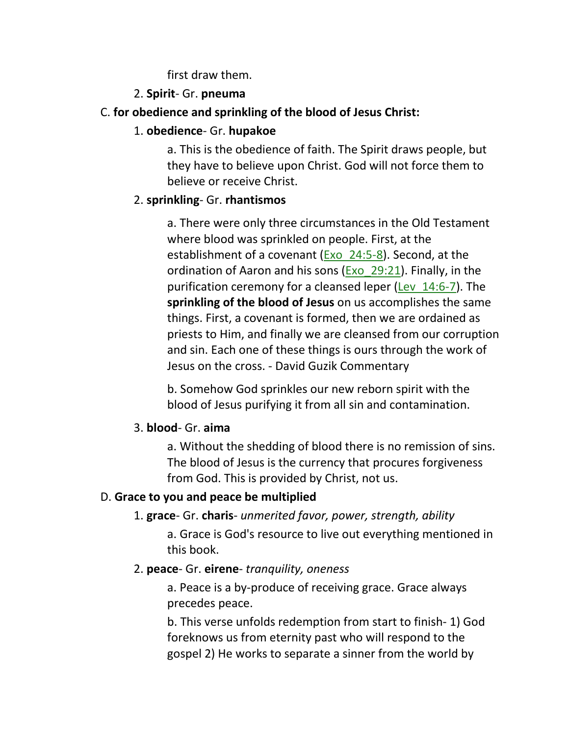first draw them.

### 2. **Spirit**- Gr. **pneuma**

## C. **for obedience and sprinkling of the blood of Jesus Christ:**

## 1. **obedience**- Gr. **hupakoe**

a. This is the obedience of faith. The Spirit draws people, but they have to believe upon Christ. God will not force them to believe or receive Christ.

## 2. **sprinkling**- Gr. **rhantismos**

a. There were only three circumstances in the Old Testament where blood was sprinkled on people. First, at the establishment of a covenant (Exo\_24:5-8). Second, at the ordination of Aaron and his sons (Exo  $29:21$ ). Finally, in the purification ceremony for a cleansed leper (Lev\_14:6-7). The **sprinkling of the blood of Jesus** on us accomplishes the same things. First, a covenant is formed, then we are ordained as priests to Him, and finally we are cleansed from our corruption and sin. Each one of these things is ours through the work of Jesus on the cross. - David Guzik Commentary

b. Somehow God sprinkles our new reborn spirit with the blood of Jesus purifying it from all sin and contamination.

## 3. **blood**- Gr. **aima**

a. Without the shedding of blood there is no remission of sins. The blood of Jesus is the currency that procures forgiveness from God. This is provided by Christ, not us.

## D. **Grace to you and peace be multiplied**

## 1. **grace**- Gr. **charis**- *unmerited favor, power, strength, ability*

a. Grace is God's resource to live out everything mentioned in this book.

## 2. **peace**- Gr. **eirene**- *tranquility, oneness*

a. Peace is a by-produce of receiving grace. Grace always precedes peace.

b. This verse unfolds redemption from start to finish- 1) God foreknows us from eternity past who will respond to the gospel 2) He works to separate a sinner from the world by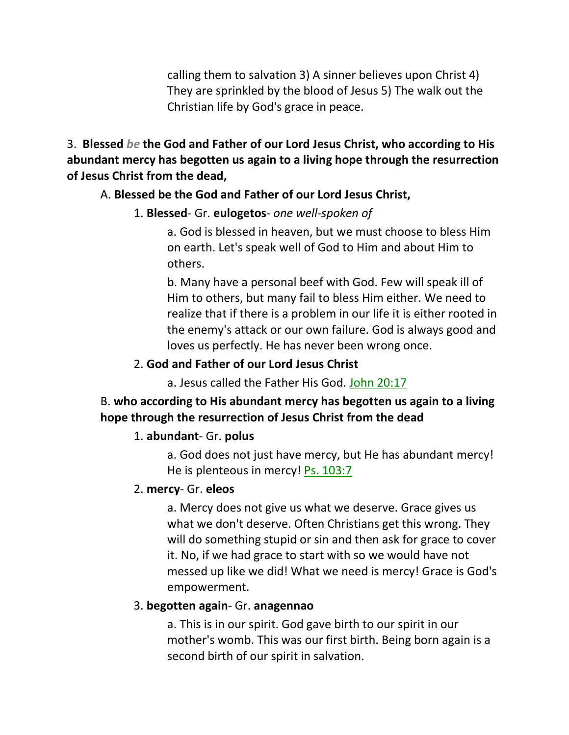calling them to salvation 3) A sinner believes upon Christ 4) They are sprinkled by the blood of Jesus 5) The walk out the Christian life by God's grace in peace.

3. **Blessed** *be* **the God and Father of our Lord Jesus Christ, who according to His abundant mercy has begotten us again to a living hope through the resurrection of Jesus Christ from the dead,** 

#### A. **Blessed be the God and Father of our Lord Jesus Christ,**

#### 1. **Blessed**- Gr. **eulogetos**- *one well-spoken of*

a. God is blessed in heaven, but we must choose to bless Him on earth. Let's speak well of God to Him and about Him to others.

b. Many have a personal beef with God. Few will speak ill of Him to others, but many fail to bless Him either. We need to realize that if there is a problem in our life it is either rooted in the enemy's attack or our own failure. God is always good and loves us perfectly. He has never been wrong once.

#### 2. **God and Father of our Lord Jesus Christ**

a. Jesus called the Father His God. John 20:17

### B. **who according to His abundant mercy has begotten us again to a living hope through the resurrection of Jesus Christ from the dead**

#### 1. **abundant**- Gr. **polus**

a. God does not just have mercy, but He has abundant mercy! He is plenteous in mercy! Ps. 103:7

#### 2. **mercy**- Gr. **eleos**

a. Mercy does not give us what we deserve. Grace gives us what we don't deserve. Often Christians get this wrong. They will do something stupid or sin and then ask for grace to cover it. No, if we had grace to start with so we would have not messed up like we did! What we need is mercy! Grace is God's empowerment.

#### 3. **begotten again**- Gr. **anagennao**

a. This is in our spirit. God gave birth to our spirit in our mother's womb. This was our first birth. Being born again is a second birth of our spirit in salvation.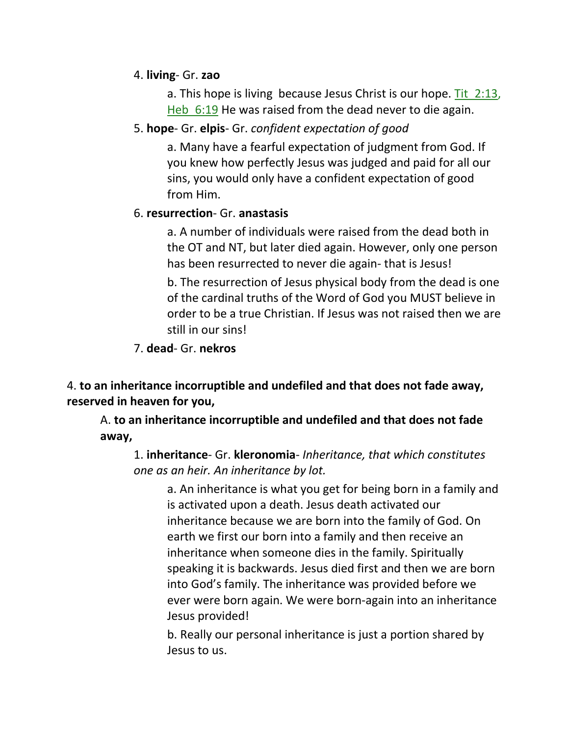### 4. **living**- Gr. **zao**

a. This hope is living because Jesus Christ is our hope. Tit 2:13, Heb 6:19 He was raised from the dead never to die again.

## 5. **hope**- Gr. **elpis**- Gr. *confident expectation of good*

a. Many have a fearful expectation of judgment from God. If you knew how perfectly Jesus was judged and paid for all our sins, you would only have a confident expectation of good from Him.

## 6. **resurrection**- Gr. **anastasis**

a. A number of individuals were raised from the dead both in the OT and NT, but later died again. However, only one person has been resurrected to never die again- that is Jesus!

b. The resurrection of Jesus physical body from the dead is one of the cardinal truths of the Word of God you MUST believe in order to be a true Christian. If Jesus was not raised then we are still in our sins!

7. **dead**- Gr. **nekros**

4. **to an inheritance incorruptible and undefiled and that does not fade away, reserved in heaven for you,**

A. **to an inheritance incorruptible and undefiled and that does not fade away,**

1. **inheritance**- Gr. **kleronomia**- *Inheritance, that which constitutes one as an heir. An inheritance by lot.*

a. An inheritance is what you get for being born in a family and is activated upon a death. Jesus death activated our inheritance because we are born into the family of God. On earth we first our born into a family and then receive an inheritance when someone dies in the family. Spiritually speaking it is backwards. Jesus died first and then we are born into God's family. The inheritance was provided before we ever were born again. We were born-again into an inheritance Jesus provided!

b. Really our personal inheritance is just a portion shared by Jesus to us.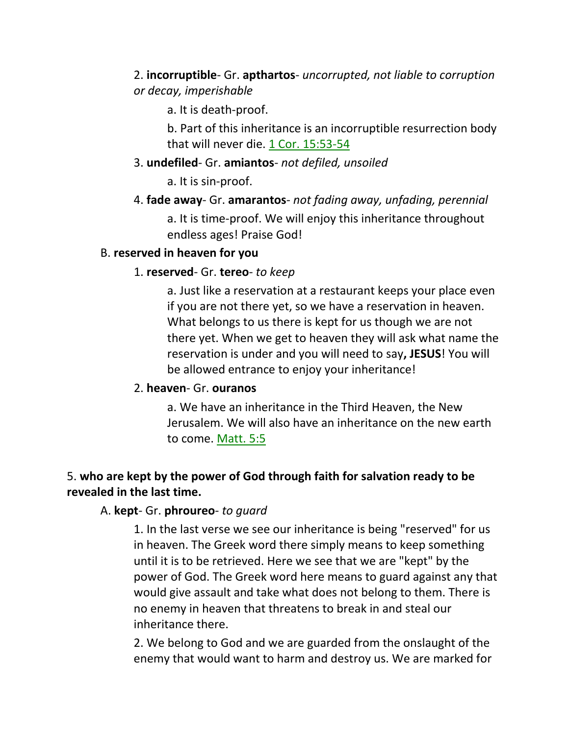2. **incorruptible**- Gr. **apthartos**- *uncorrupted, not liable to corruption or decay, imperishable*

a. It is death-proof.

b. Part of this inheritance is an incorruptible resurrection body that will never die. 1 Cor. 15:53-54

3. **undefiled**- Gr. **amiantos**- *not defiled, unsoiled*

a. It is sin-proof.

4. **fade away**- Gr. **amarantos**- *not fading away, unfading, perennial* a. It is time-proof. We will enjoy this inheritance throughout endless ages! Praise God!

### B. **reserved in heaven for you**

### 1. **reserved**- Gr. **tereo**- *to keep*

a. Just like a reservation at a restaurant keeps your place even if you are not there yet, so we have a reservation in heaven. What belongs to us there is kept for us though we are not there yet. When we get to heaven they will ask what name the reservation is under and you will need to say**, JESUS**! You will be allowed entrance to enjoy your inheritance!

### 2. **heaven**- Gr. **ouranos**

a. We have an inheritance in the Third Heaven, the New Jerusalem. We will also have an inheritance on the new earth to come. Matt. 5:5

## 5. **who are kept by the power of God through faith for salvation ready to be revealed in the last time.**

### A. **kept**- Gr. **phroureo**- *to guard*

1. In the last verse we see our inheritance is being "reserved" for us in heaven. The Greek word there simply means to keep something until it is to be retrieved. Here we see that we are "kept" by the power of God. The Greek word here means to guard against any that would give assault and take what does not belong to them. There is no enemy in heaven that threatens to break in and steal our inheritance there.

2. We belong to God and we are guarded from the onslaught of the enemy that would want to harm and destroy us. We are marked for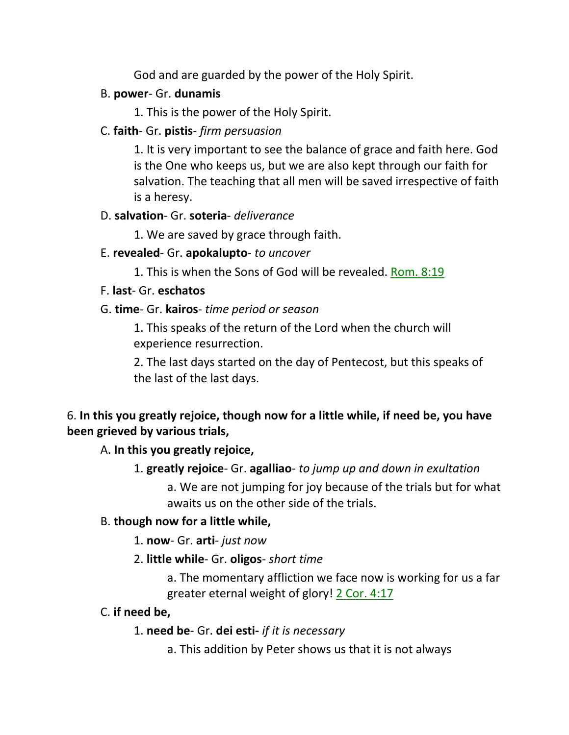God and are guarded by the power of the Holy Spirit.

## B. **power**- Gr. **dunamis**

1. This is the power of the Holy Spirit.

## C. **faith**- Gr. **pistis**- *firm persuasion*

1. It is very important to see the balance of grace and faith here. God is the One who keeps us, but we are also kept through our faith for salvation. The teaching that all men will be saved irrespective of faith is a heresy.

## D. **salvation**- Gr. **soteria**- *deliverance*

1. We are saved by grace through faith.

# E. **revealed**- Gr. **apokalupto**- *to uncover*

1. This is when the Sons of God will be revealed. Rom. 8:19

# F. **last**- Gr. **eschatos**

# G. **time**- Gr. **kairos**- *time period or season*

1. This speaks of the return of the Lord when the church will experience resurrection.

2. The last days started on the day of Pentecost, but this speaks of the last of the last days.

# 6. **In this you greatly rejoice, though now for a little while, if need be, you have been grieved by various trials,**

A. **In this you greatly rejoice,**

# 1. **greatly rejoice**- Gr. **agalliao**- *to jump up and down in exultation*

a. We are not jumping for joy because of the trials but for what awaits us on the other side of the trials.

# B. **though now for a little while,**

1. **now**- Gr. **arti**- *just now*

# 2. **little while**- Gr. **oligos**- *short time*

a. The momentary affliction we face now is working for us a far greater eternal weight of glory! 2 Cor. 4:17

# C. **if need be,**

# 1. **need be**- Gr. **dei esti-** *if it is necessary*

a. This addition by Peter shows us that it is not always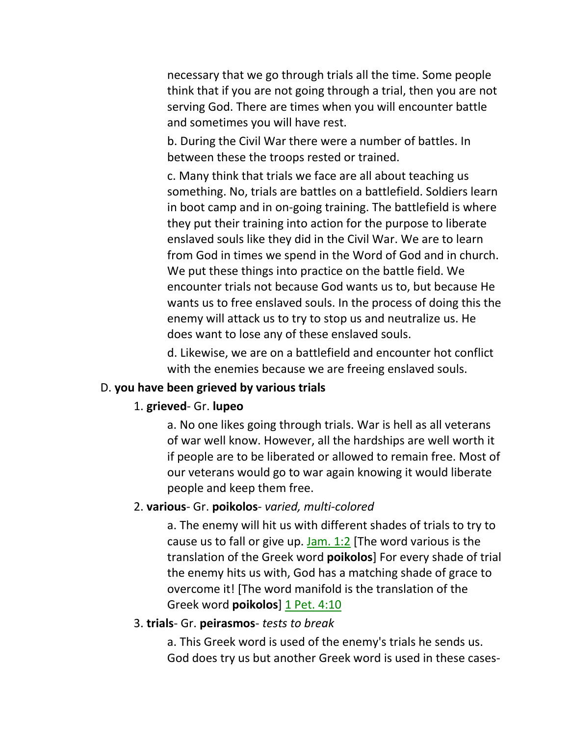necessary that we go through trials all the time. Some people think that if you are not going through a trial, then you are not serving God. There are times when you will encounter battle and sometimes you will have rest.

b. During the Civil War there were a number of battles. In between these the troops rested or trained.

c. Many think that trials we face are all about teaching us something. No, trials are battles on a battlefield. Soldiers learn in boot camp and in on-going training. The battlefield is where they put their training into action for the purpose to liberate enslaved souls like they did in the Civil War. We are to learn from God in times we spend in the Word of God and in church. We put these things into practice on the battle field. We encounter trials not because God wants us to, but because He wants us to free enslaved souls. In the process of doing this the enemy will attack us to try to stop us and neutralize us. He does want to lose any of these enslaved souls.

d. Likewise, we are on a battlefield and encounter hot conflict with the enemies because we are freeing enslaved souls.

#### D. **you have been grieved by various trials**

#### 1. **grieved**- Gr. **lupeo**

a. No one likes going through trials. War is hell as all veterans of war well know. However, all the hardships are well worth it if people are to be liberated or allowed to remain free. Most of our veterans would go to war again knowing it would liberate people and keep them free.

#### 2. **various**- Gr. **poikolos**- *varied, multi-colored*

a. The enemy will hit us with different shades of trials to try to cause us to fall or give up. Jam. 1:2 [The word various is the translation of the Greek word **poikolos**] For every shade of trial the enemy hits us with, God has a matching shade of grace to overcome it! [The word manifold is the translation of the Greek word **poikolos**] 1 Pet. 4:10

#### 3. **trials**- Gr. **peirasmos**- *tests to break*

a. This Greek word is used of the enemy's trials he sends us. God does try us but another Greek word is used in these cases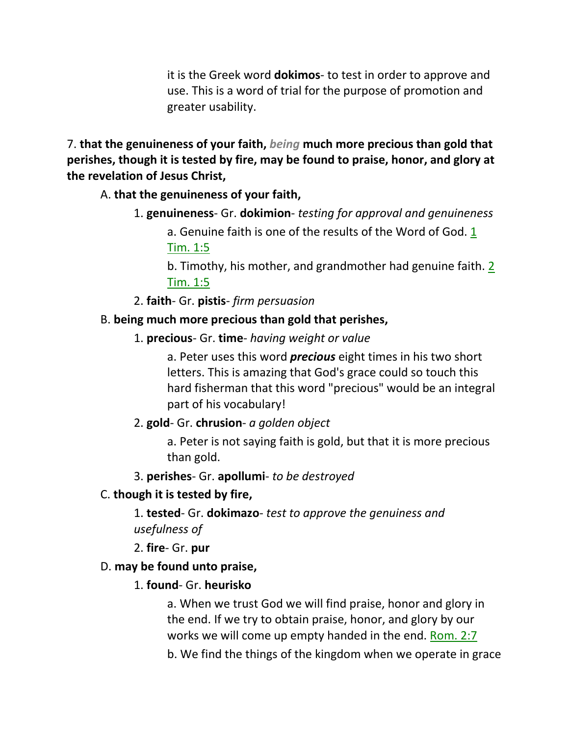it is the Greek word **dokimos**- to test in order to approve and use. This is a word of trial for the purpose of promotion and greater usability.

7. **that the genuineness of your faith,** *being* **much more precious than gold that perishes, though it is tested by fire, may be found to praise, honor, and glory at the revelation of Jesus Christ,** 

A. **that the genuineness of your faith,**

1. **genuineness**- Gr. **dokimion**- *testing for approval and genuineness*

a. Genuine faith is one of the results of the Word of God. 1 Tim. 1:5

b. Timothy, his mother, and grandmother had genuine faith. 2 Tim. 1:5

2. **faith**- Gr. **pistis**- *firm persuasion*

## B. **being much more precious than gold that perishes,**

1. **precious**- Gr. **time**- *having weight or value*

a. Peter uses this word *precious* eight times in his two short letters. This is amazing that God's grace could so touch this hard fisherman that this word "precious" would be an integral part of his vocabulary!

## 2. **gold**- Gr. **chrusion**- *a golden object*

a. Peter is not saying faith is gold, but that it is more precious than gold.

3. **perishes**- Gr. **apollumi**- *to be destroyed*

## C. **though it is tested by fire,**

1. **tested**- Gr. **dokimazo**- *test to approve the genuiness and usefulness of*

2. **fire**- Gr. **pur**

## D. **may be found unto praise,**

## 1. **found**- Gr. **heurisko**

a. When we trust God we will find praise, honor and glory in the end. If we try to obtain praise, honor, and glory by our works we will come up empty handed in the end. Rom. 2:7

b. We find the things of the kingdom when we operate in grace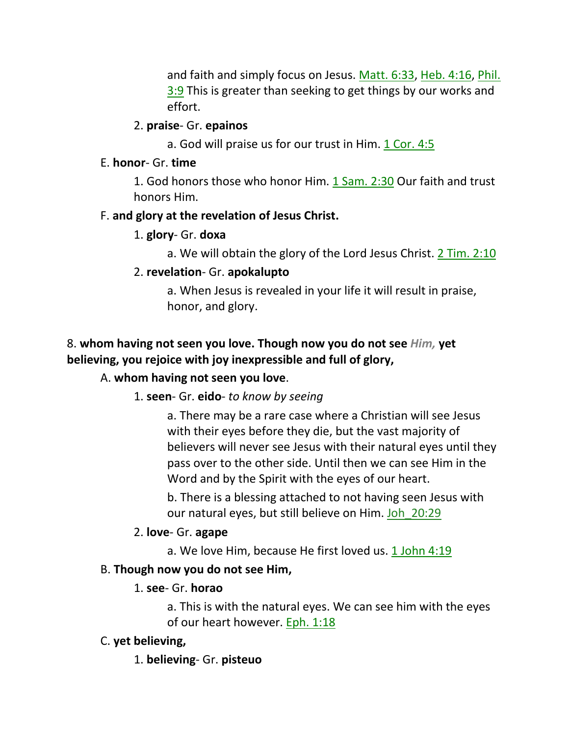and faith and simply focus on Jesus. Matt. 6:33, Heb. 4:16, Phil. 3:9 This is greater than seeking to get things by our works and effort.

### 2. **praise**- Gr. **epainos**

a. God will praise us for our trust in Him. 1 Cor. 4:5

### E. **honor**- Gr. **time**

1. God honors those who honor Him. 1 Sam. 2:30 Our faith and trust honors Him.

## F. **and glory at the revelation of Jesus Christ.**

### 1. **glory**- Gr. **doxa**

a. We will obtain the glory of the Lord Jesus Christ. 2 Tim. 2:10

## 2. **revelation**- Gr. **apokalupto**

a. When Jesus is revealed in your life it will result in praise, honor, and glory.

## 8. **whom having not seen you love. Though now you do not see** *Him,* **yet believing, you rejoice with joy inexpressible and full of glory,**

# A. **whom having not seen you love**.

## 1. **seen**- Gr. **eido**- *to know by seeing*

a. There may be a rare case where a Christian will see Jesus with their eyes before they die, but the vast majority of believers will never see Jesus with their natural eyes until they pass over to the other side. Until then we can see Him in the Word and by the Spirit with the eyes of our heart.

b. There is a blessing attached to not having seen Jesus with our natural eyes, but still believe on Him. Joh\_20:29

## 2. **love**- Gr. **agape**

a. We love Him, because He first loved us. 1 John 4:19

## B. **Though now you do not see Him,**

# 1. **see**- Gr. **horao**

a. This is with the natural eyes. We can see him with the eyes of our heart however. Eph. 1:18

## C. **yet believing,**

# 1. **believing**- Gr. **pisteuo**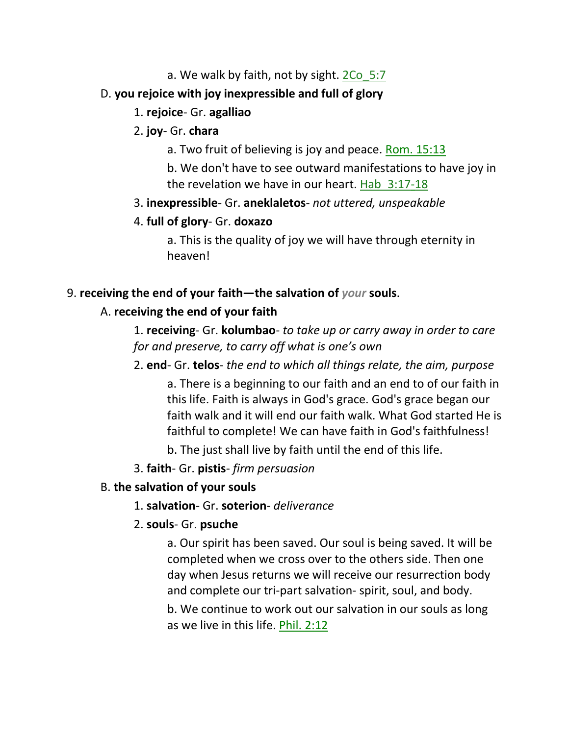### a. We walk by faith, not by sight.  $2Co$  5:7

### D. **you rejoice with joy inexpressible and full of glory**

### 1. **rejoice**- Gr. **agalliao**

### 2. **joy**- Gr. **chara**

a. Two fruit of believing is joy and peace. Rom. 15:13

b. We don't have to see outward manifestations to have joy in the revelation we have in our heart. Hab 3:17-18

### 3. **inexpressible**- Gr. **aneklaletos**- *not uttered, unspeakable*

### 4. **full of glory**- Gr. **doxazo**

a. This is the quality of joy we will have through eternity in heaven!

### 9. **receiving the end of your faith—the salvation of** *your* **souls**.

### A. **receiving the end of your faith**

1. **receiving**- Gr. **kolumbao**- *to take up or carry away in order to care for and preserve, to carry off what is one's own*

## 2. **end**- Gr. **telos**- *the end to which all things relate, the aim, purpose*

a. There is a beginning to our faith and an end to of our faith in this life. Faith is always in God's grace. God's grace began our faith walk and it will end our faith walk. What God started He is faithful to complete! We can have faith in God's faithfulness!

b. The just shall live by faith until the end of this life.

3. **faith**- Gr. **pistis**- *firm persuasion*

## B. **the salvation of your souls**

## 1. **salvation**- Gr. **soterion**- *deliverance*

## 2. **souls**- Gr. **psuche**

a. Our spirit has been saved. Our soul is being saved. It will be completed when we cross over to the others side. Then one day when Jesus returns we will receive our resurrection body and complete our tri-part salvation- spirit, soul, and body.

b. We continue to work out our salvation in our souls as long as we live in this life. Phil. 2:12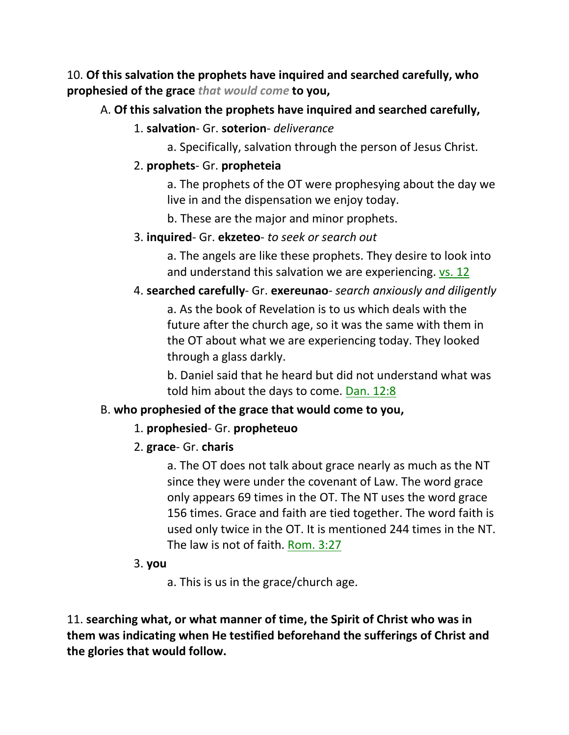10. **Of this salvation the prophets have inquired and searched carefully, who prophesied of the grace** *that would come* **to you,** 

## A. **Of this salvation the prophets have inquired and searched carefully,**

### 1. **salvation**- Gr. **soterion**- *deliverance*

a. Specifically, salvation through the person of Jesus Christ.

## 2. **prophets**- Gr. **propheteia**

a. The prophets of the OT were prophesying about the day we live in and the dispensation we enjoy today.

b. These are the major and minor prophets.

### 3. **inquired**- Gr. **ekzeteo**- *to seek or search out*

a. The angels are like these prophets. They desire to look into and understand this salvation we are experiencing. vs. 12

## 4. **searched carefully**- Gr. **exereunao**- *search anxiously and diligently*

a. As the book of Revelation is to us which deals with the future after the church age, so it was the same with them in the OT about what we are experiencing today. They looked through a glass darkly.

b. Daniel said that he heard but did not understand what was told him about the days to come. Dan. 12:8

## B. **who prophesied of the grace that would come to you,**

## 1. **prophesied**- Gr. **propheteuo**

## 2. **grace**- Gr. **charis**

a. The OT does not talk about grace nearly as much as the NT since they were under the covenant of Law. The word grace only appears 69 times in the OT. The NT uses the word grace 156 times. Grace and faith are tied together. The word faith is used only twice in the OT. It is mentioned 244 times in the NT. The law is not of faith. Rom. 3:27

### 3. **you**

a. This is us in the grace/church age.

11. **searching what, or what manner of time, the Spirit of Christ who was in them was indicating when He testified beforehand the sufferings of Christ and the glories that would follow.**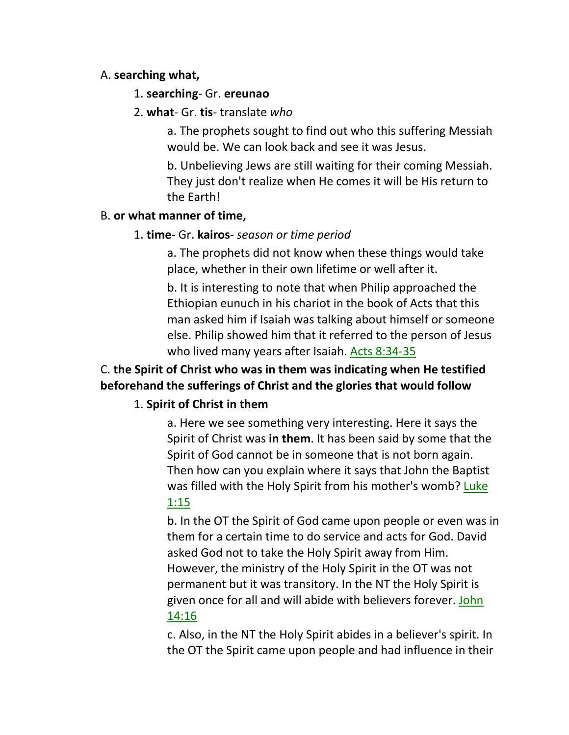### A. **searching what,**

- 1. **searching** Gr. **ereunao**
- 2. **what** Gr. **tis** translate *who*

a. The prophets sought to find out who this suffering Messiah would be. We can look back and see it was Jesus.

b. Unbelieving Jews are still waiting for their coming Messiah. They just don't realize when He comes it will be His return to the Earth!

### B. **or what manner of time,**

1. **time**- Gr. **kairos**- *season or time period*

a. The prophets did not know when these things would take place, whether in their own lifetime or well after it.

b. It is interesting to note that when Philip approached the Ethiopian eunuch in his chariot in the book of Acts that this man asked him if Isaiah was talking about himself or someone else. Philip showed him that it referred to the person of Jesus who lived many years after Isaiah. Acts 8:34-35

# C. **the Spirit of Christ who was in them was indicating when He testified beforehand the sufferings of Christ and the glories that would follow**

# 1. **Spirit of Christ in them**

a. Here we see something very interesting. Here it says the Spirit of Christ was **in them**. It has been said by some that the Spirit of God cannot be in someone that is not born again. Then how can you explain where it says that John the Baptist was filled with the Holy Spirit from his mother's womb? Luke 1:15

b. In the OT the Spirit of God came upon people or even was in them for a certain time to do service and acts for God. David asked God not to take the Holy Spirit away from Him. However, the ministry of the Holy Spirit in the OT was not permanent but it was transitory. In the NT the Holy Spirit is given once for all and will abide with believers forever. John 14:16

c. Also, in the NT the Holy Spirit abides in a believer's spirit. In the OT the Spirit came upon people and had influence in their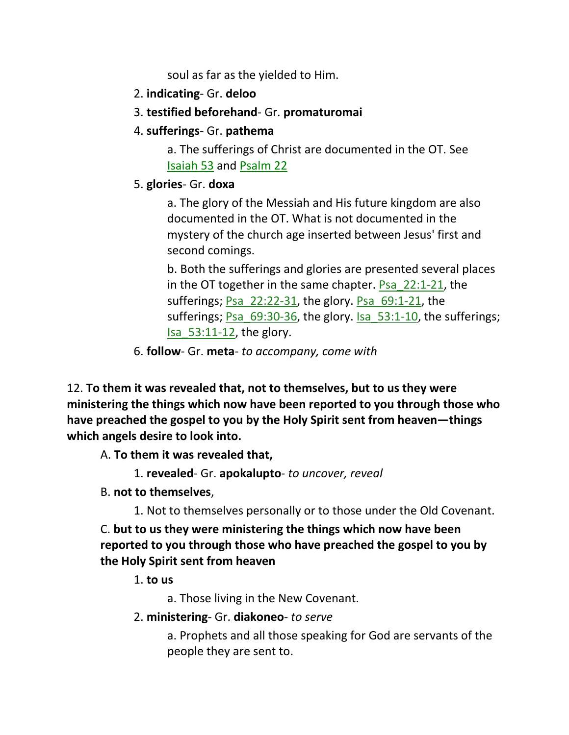soul as far as the yielded to Him.

- 2. **indicating** Gr. **deloo**
- 3. **testified beforehand** Gr. **promaturomai**
- 4. **sufferings** Gr. **pathema**

a. The sufferings of Christ are documented in the OT. See Isaiah 53 and Psalm 22

5. **glories**- Gr. **doxa**

a. The glory of the Messiah and His future kingdom are also documented in the OT. What is not documented in the mystery of the church age inserted between Jesus' first and second comings.

b. Both the sufferings and glories are presented several places in the OT together in the same chapter. Psa\_22:1-21, the sufferings; Psa  $22:22-31$ , the glory. Psa  $69:1-21$ , the sufferings; Psa  $69:30-36$ , the glory. Isa  $53:1-10$ , the sufferings;  $Isa$  53:11-12, the glory.

6. **follow**- Gr. **meta**- *to accompany, come with*

12. **To them it was revealed that, not to themselves, but to us they were ministering the things which now have been reported to you through those who have preached the gospel to you by the Holy Spirit sent from heaven—things which angels desire to look into.** 

A. **To them it was revealed that,**

- 1. **revealed** Gr. **apokalupto** *to uncover, reveal*
- B. **not to themselves**,
	- 1. Not to themselves personally or to those under the Old Covenant.

C. **but to us they were ministering the things which now have been reported to you through those who have preached the gospel to you by the Holy Spirit sent from heaven**

1. **to us**

a. Those living in the New Covenant.

2. **ministering**- Gr. **diakoneo**- *to serve*

a. Prophets and all those speaking for God are servants of the people they are sent to.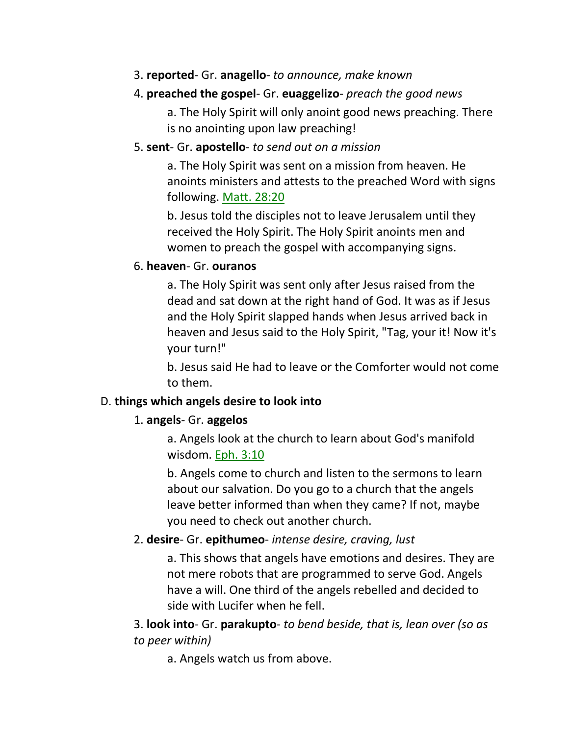3. **reported**- Gr. **anagello**- *to announce, make known*

### 4. **preached the gospel**- Gr. **euaggelizo**- *preach the good news*

a. The Holy Spirit will only anoint good news preaching. There is no anointing upon law preaching!

### 5. **sent**- Gr. **apostello**- *to send out on a mission*

a. The Holy Spirit was sent on a mission from heaven. He anoints ministers and attests to the preached Word with signs following. Matt. 28:20

b. Jesus told the disciples not to leave Jerusalem until they received the Holy Spirit. The Holy Spirit anoints men and women to preach the gospel with accompanying signs.

### 6. **heaven**- Gr. **ouranos**

a. The Holy Spirit was sent only after Jesus raised from the dead and sat down at the right hand of God. It was as if Jesus and the Holy Spirit slapped hands when Jesus arrived back in heaven and Jesus said to the Holy Spirit, "Tag, your it! Now it's your turn!"

b. Jesus said He had to leave or the Comforter would not come to them.

### D. **things which angels desire to look into**

## 1. **angels**- Gr. **aggelos**

a. Angels look at the church to learn about God's manifold wisdom. Eph. 3:10

b. Angels come to church and listen to the sermons to learn about our salvation. Do you go to a church that the angels leave better informed than when they came? If not, maybe you need to check out another church.

## 2. **desire**- Gr. **epithumeo**- *intense desire, craving, lust*

a. This shows that angels have emotions and desires. They are not mere robots that are programmed to serve God. Angels have a will. One third of the angels rebelled and decided to side with Lucifer when he fell.

3. **look into**- Gr. **parakupto**- *to bend beside, that is, lean over (so as to peer within)*

a. Angels watch us from above.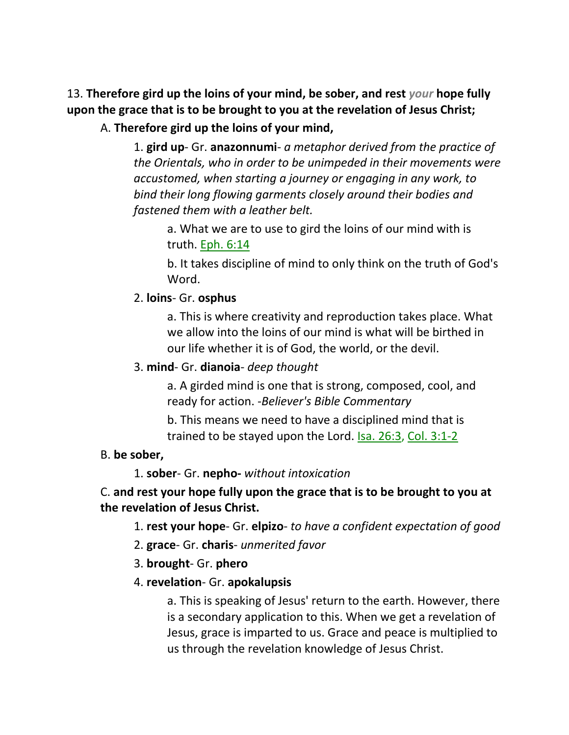13. **Therefore gird up the loins of your mind, be sober, and rest** *your* **hope fully upon the grace that is to be brought to you at the revelation of Jesus Christ;** 

A. **Therefore gird up the loins of your mind,**

1. **gird up**- Gr. **anazonnumi**- *a metaphor derived from the practice of the Orientals, who in order to be unimpeded in their movements were accustomed, when starting a journey or engaging in any work, to bind their long flowing garments closely around their bodies and fastened them with a leather belt.*

a. What we are to use to gird the loins of our mind with is truth. Eph. 6:14

b. It takes discipline of mind to only think on the truth of God's Word.

#### 2. **loins**- Gr. **osphus**

a. This is where creativity and reproduction takes place. What we allow into the loins of our mind is what will be birthed in our life whether it is of God, the world, or the devil.

#### 3. **mind**- Gr. **dianoia**- *deep thought*

a. A girded mind is one that is strong, composed, cool, and ready for action. -*Believer's Bible Commentary*

b. This means we need to have a disciplined mind that is trained to be stayed upon the Lord. Isa. 26:3, Col. 3:1-2

#### B. **be sober,**

1. **sober**- Gr. **nepho-** *without intoxication*

### C. **and rest your hope fully upon the grace that is to be brought to you at the revelation of Jesus Christ.**

1. **rest your hope**- Gr. **elpizo**- *to have a confident expectation of good*

- 2. **grace** Gr. **charis** *unmerited favor*
- 3. **brought** Gr. **phero**

### 4. **revelation**- Gr. **apokalupsis**

a. This is speaking of Jesus' return to the earth. However, there is a secondary application to this. When we get a revelation of Jesus, grace is imparted to us. Grace and peace is multiplied to us through the revelation knowledge of Jesus Christ.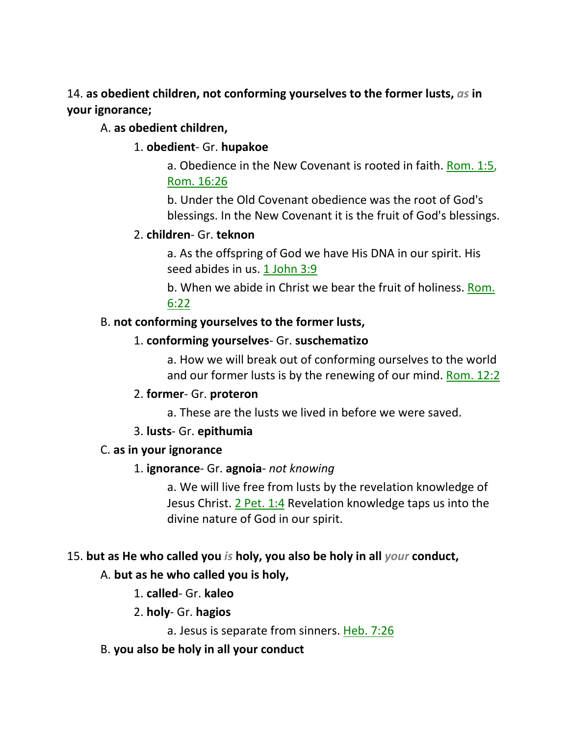14. **as obedient children, not conforming yourselves to the former lusts,** *as* **in your ignorance;** 

### A. **as obedient children,**

### 1. **obedient**- Gr. **hupakoe**

a. Obedience in the New Covenant is rooted in faith. Rom. 1:5, Rom. 16:26

b. Under the Old Covenant obedience was the root of God's blessings. In the New Covenant it is the fruit of God's blessings.

### 2. **children**- Gr. **teknon**

a. As the offspring of God we have His DNA in our spirit. His seed abides in us. 1 John 3:9

b. When we abide in Christ we bear the fruit of holiness. Rom. 6:22

### B. **not conforming yourselves to the former lusts,**

### 1. **conforming yourselves**- Gr. **suschematizo**

a. How we will break out of conforming ourselves to the world and our former lusts is by the renewing of our mind. Rom. 12:2

### 2. **former**- Gr. **proteron**

a. These are the lusts we lived in before we were saved.

## 3. **lusts**- Gr. **epithumia**

### C. **as in your ignorance**

### 1. **ignorance**- Gr. **agnoia**- *not knowing*

a. We will live free from lusts by the revelation knowledge of Jesus Christ. 2 Pet. 1:4 Revelation knowledge taps us into the divine nature of God in our spirit.

## 15. **but as He who called you** *is* **holy, you also be holy in all** *your* **conduct,**

## A. **but as he who called you is holy,**

1. **called**- Gr. **kaleo**

## 2. **holy**- Gr. **hagios**

a. Jesus is separate from sinners. Heb. 7:26

## B. **you also be holy in all your conduct**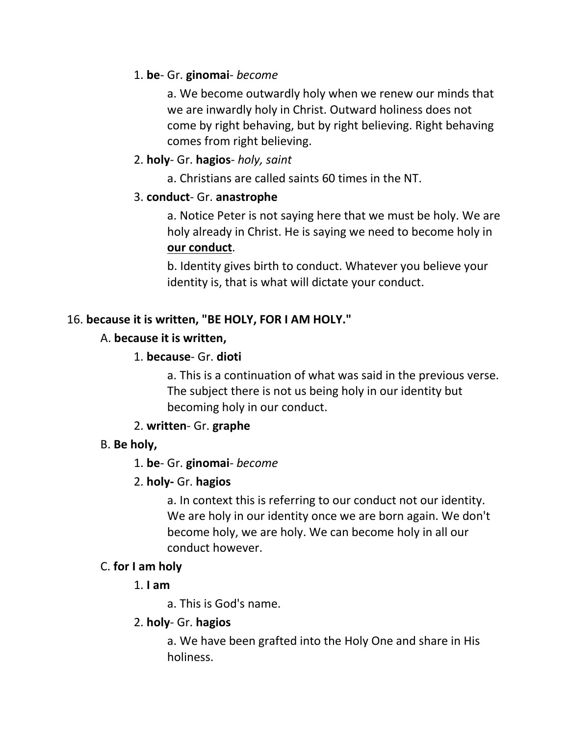## 1. **be**- Gr. **ginomai**- *become*

a. We become outwardly holy when we renew our minds that we are inwardly holy in Christ. Outward holiness does not come by right behaving, but by right believing. Right behaving comes from right believing.

## 2. **holy**- Gr. **hagios**- *holy, saint*

a. Christians are called saints 60 times in the NT.

## 3. **conduct**- Gr. **anastrophe**

a. Notice Peter is not saying here that we must be holy. We are holy already in Christ. He is saying we need to become holy in **our conduct**.

b. Identity gives birth to conduct. Whatever you believe your identity is, that is what will dictate your conduct.

# 16. **because it is written, "BE HOLY, FOR I AM HOLY."**

## A. **because it is written,**

## 1. **because**- Gr. **dioti**

a. This is a continuation of what was said in the previous verse. The subject there is not us being holy in our identity but becoming holy in our conduct.

## 2. **written**- Gr. **graphe**

# B. **Be holy,**

# 1. **be**- Gr. **ginomai**- *become*

## 2. **holy-** Gr. **hagios**

a. In context this is referring to our conduct not our identity. We are holy in our identity once we are born again. We don't become holy, we are holy. We can become holy in all our conduct however.

## C. **for I am holy**

## 1. **I am**

a. This is God's name.

## 2. **holy**- Gr. **hagios**

a. We have been grafted into the Holy One and share in His holiness.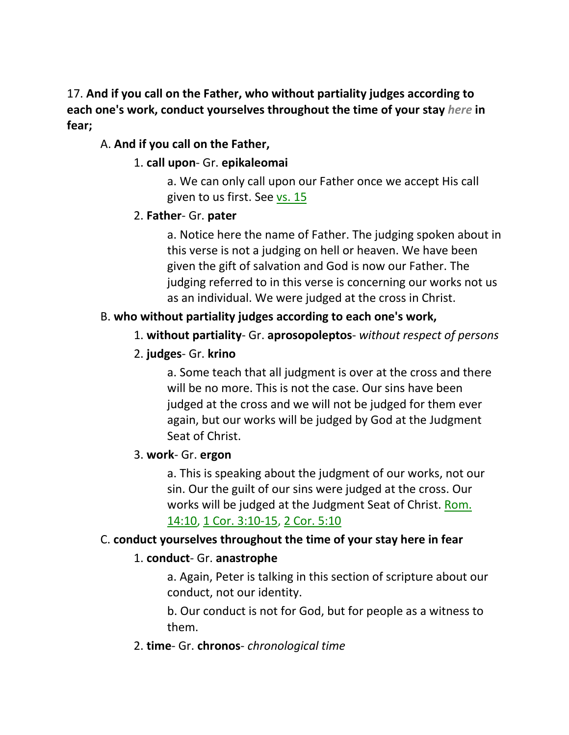## 17. **And if you call on the Father, who without partiality judges according to each one's work, conduct yourselves throughout the time of your stay** *here* **in fear;**

## A. **And if you call on the Father,**

## 1. **call upon**- Gr. **epikaleomai**

a. We can only call upon our Father once we accept His call given to us first. See vs. 15

## 2. **Father**- Gr. **pater**

a. Notice here the name of Father. The judging spoken about in this verse is not a judging on hell or heaven. We have been given the gift of salvation and God is now our Father. The judging referred to in this verse is concerning our works not us as an individual. We were judged at the cross in Christ.

# B. **who without partiality judges according to each one's work,**

# 1. **without partiality**- Gr. **aprosopoleptos**- *without respect of persons*

## 2. **judges**- Gr. **krino**

a. Some teach that all judgment is over at the cross and there will be no more. This is not the case. Our sins have been judged at the cross and we will not be judged for them ever again, but our works will be judged by God at the Judgment Seat of Christ.

## 3. **work**- Gr. **ergon**

a. This is speaking about the judgment of our works, not our sin. Our the guilt of our sins were judged at the cross. Our works will be judged at the Judgment Seat of Christ. Rom. 14:10, 1 Cor. 3:10-15, 2 Cor. 5:10

## C. **conduct yourselves throughout the time of your stay here in fear**

## 1. **conduct**- Gr. **anastrophe**

a. Again, Peter is talking in this section of scripture about our conduct, not our identity.

b. Our conduct is not for God, but for people as a witness to them.

## 2. **time**- Gr. **chronos**- *chronological time*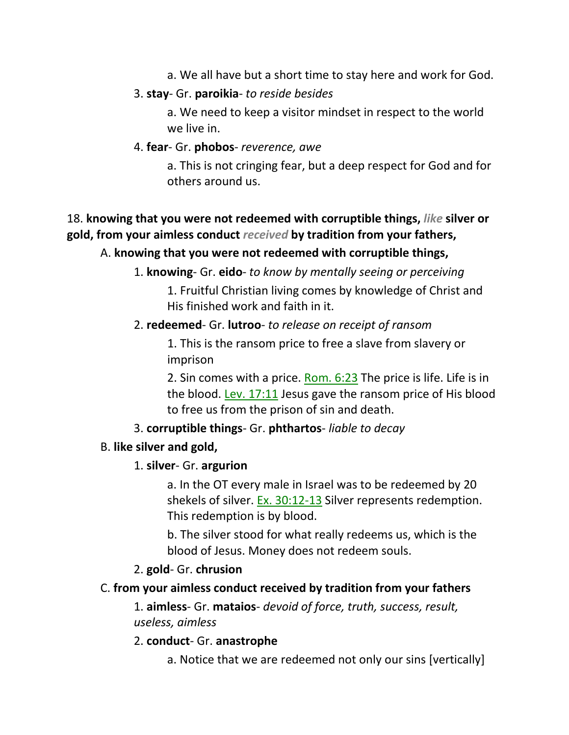a. We all have but a short time to stay here and work for God.

### 3. **stay**- Gr. **paroikia**- *to reside besides*

a. We need to keep a visitor mindset in respect to the world we live in.

### 4. **fear**- Gr. **phobos**- *reverence, awe*

a. This is not cringing fear, but a deep respect for God and for others around us.

# 18. **knowing that you were not redeemed with corruptible things,** *like* **silver or gold, from your aimless conduct** *received* **by tradition from your fathers,**

## A. **knowing that you were not redeemed with corruptible things,**

1. **knowing**- Gr. **eido**- *to know by mentally seeing or perceiving*

1. Fruitful Christian living comes by knowledge of Christ and His finished work and faith in it.

## 2. **redeemed**- Gr. **lutroo**- *to release on receipt of ransom*

1. This is the ransom price to free a slave from slavery or imprison

2. Sin comes with a price. Rom. 6:23 The price is life. Life is in the blood. Lev. 17:11 Jesus gave the ransom price of His blood to free us from the prison of sin and death.

## 3. **corruptible things**- Gr. **phthartos**- *liable to decay*

## B. **like silver and gold,**

## 1. **silver**- Gr. **argurion**

a. In the OT every male in Israel was to be redeemed by 20 shekels of silver. Ex. 30:12-13 Silver represents redemption. This redemption is by blood.

b. The silver stood for what really redeems us, which is the blood of Jesus. Money does not redeem souls.

## 2. **gold**- Gr. **chrusion**

# C. **from your aimless conduct received by tradition from your fathers**

1. **aimless**- Gr. **mataios**- *devoid of force, truth, success, result, useless, aimless*

## 2. **conduct**- Gr. **anastrophe**

a. Notice that we are redeemed not only our sins [vertically]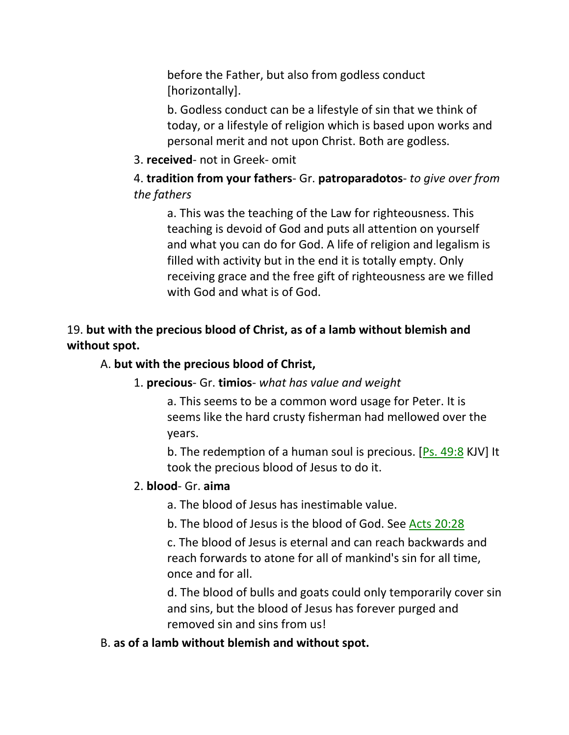before the Father, but also from godless conduct [horizontally].

b. Godless conduct can be a lifestyle of sin that we think of today, or a lifestyle of religion which is based upon works and personal merit and not upon Christ. Both are godless.

### 3. **received**- not in Greek- omit

4. **tradition from your fathers**- Gr. **patroparadotos**- *to give over from the fathers*

a. This was the teaching of the Law for righteousness. This teaching is devoid of God and puts all attention on yourself and what you can do for God. A life of religion and legalism is filled with activity but in the end it is totally empty. Only receiving grace and the free gift of righteousness are we filled with God and what is of God.

## 19. **but with the precious blood of Christ, as of a lamb without blemish and without spot.**

### A. **but with the precious blood of Christ,**

### 1. **precious**- Gr. **timios**- *what has value and weight*

a. This seems to be a common word usage for Peter. It is seems like the hard crusty fisherman had mellowed over the years.

b. The redemption of a human soul is precious. [Ps. 49:8 KJV] It took the precious blood of Jesus to do it.

#### 2. **blood**- Gr. **aima**

a. The blood of Jesus has inestimable value.

b. The blood of Jesus is the blood of God. See Acts 20:28

c. The blood of Jesus is eternal and can reach backwards and reach forwards to atone for all of mankind's sin for all time, once and for all.

d. The blood of bulls and goats could only temporarily cover sin and sins, but the blood of Jesus has forever purged and removed sin and sins from us!

#### B. **as of a lamb without blemish and without spot.**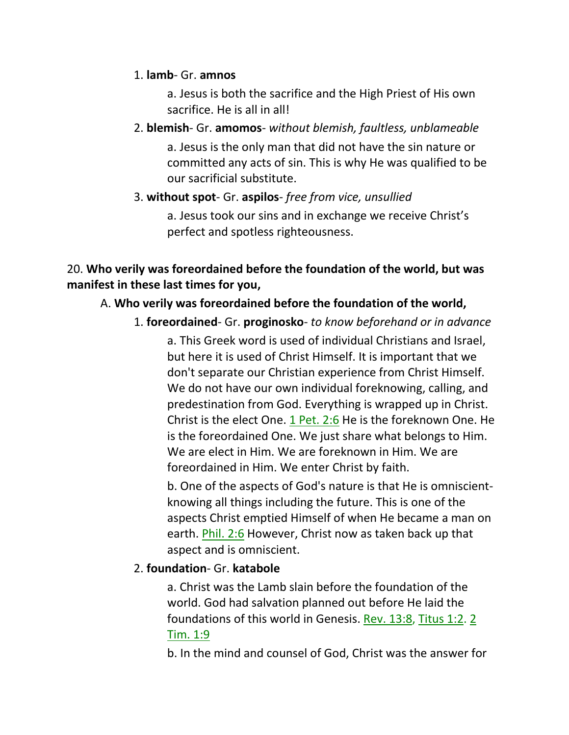### 1. **lamb**- Gr. **amnos**

a. Jesus is both the sacrifice and the High Priest of His own sacrifice. He is all in all!

2. **blemish**- Gr. **amomos**- *without blemish, faultless, unblameable* a. Jesus is the only man that did not have the sin nature or committed any acts of sin. This is why He was qualified to be our sacrificial substitute.

### 3. **without spot**- Gr. **aspilos**- *free from vice, unsullied*

a. Jesus took our sins and in exchange we receive Christ's perfect and spotless righteousness.

## 20. **Who verily was foreordained before the foundation of the world, but was manifest in these last times for you,**

## A. **Who verily was foreordained before the foundation of the world,**

1. **foreordained**- Gr. **proginosko**- *to know beforehand or in advance* a. This Greek word is used of individual Christians and Israel, but here it is used of Christ Himself. It is important that we don't separate our Christian experience from Christ Himself. We do not have our own individual foreknowing, calling, and predestination from God. Everything is wrapped up in Christ. Christ is the elect One. 1 Pet. 2:6 He is the foreknown One. He is the foreordained One. We just share what belongs to Him. We are elect in Him. We are foreknown in Him. We are foreordained in Him. We enter Christ by faith.

b. One of the aspects of God's nature is that He is omniscientknowing all things including the future. This is one of the aspects Christ emptied Himself of when He became a man on earth. Phil. 2:6 However, Christ now as taken back up that aspect and is omniscient.

## 2. **foundation**- Gr. **katabole**

a. Christ was the Lamb slain before the foundation of the world. God had salvation planned out before He laid the foundations of this world in Genesis. Rev. 13:8, Titus 1:2. 2 Tim. 1:9

b. In the mind and counsel of God, Christ was the answer for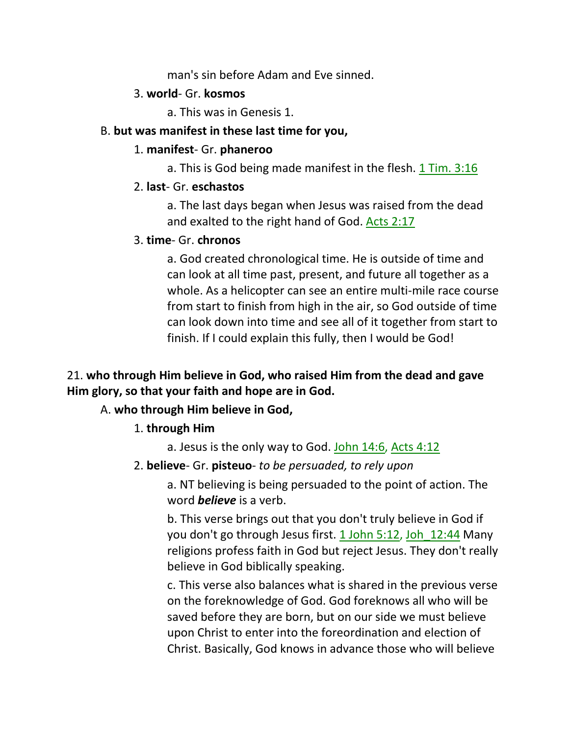man's sin before Adam and Eve sinned.

#### 3. **world**- Gr. **kosmos**

a. This was in Genesis 1.

### B. **but was manifest in these last time for you,**

### 1. **manifest**- Gr. **phaneroo**

a. This is God being made manifest in the flesh. 1 Tim. 3:16

### 2. **last**- Gr. **eschastos**

a. The last days began when Jesus was raised from the dead and exalted to the right hand of God. Acts 2:17

### 3. **time**- Gr. **chronos**

a. God created chronological time. He is outside of time and can look at all time past, present, and future all together as a whole. As a helicopter can see an entire multi-mile race course from start to finish from high in the air, so God outside of time can look down into time and see all of it together from start to finish. If I could explain this fully, then I would be God!

## 21. **who through Him believe in God, who raised Him from the dead and gave Him glory, so that your faith and hope are in God.**

# A. **who through Him believe in God,**

## 1. **through Him**

a. Jesus is the only way to God. John 14:6, Acts 4:12

## 2. **believe**- Gr. **pisteuo**- *to be persuaded, to rely upon*

a. NT believing is being persuaded to the point of action. The word *believe* is a verb.

b. This verse brings out that you don't truly believe in God if you don't go through Jesus first. 1 John 5:12, Joh 12:44 Many religions profess faith in God but reject Jesus. They don't really believe in God biblically speaking.

c. This verse also balances what is shared in the previous verse on the foreknowledge of God. God foreknows all who will be saved before they are born, but on our side we must believe upon Christ to enter into the foreordination and election of Christ. Basically, God knows in advance those who will believe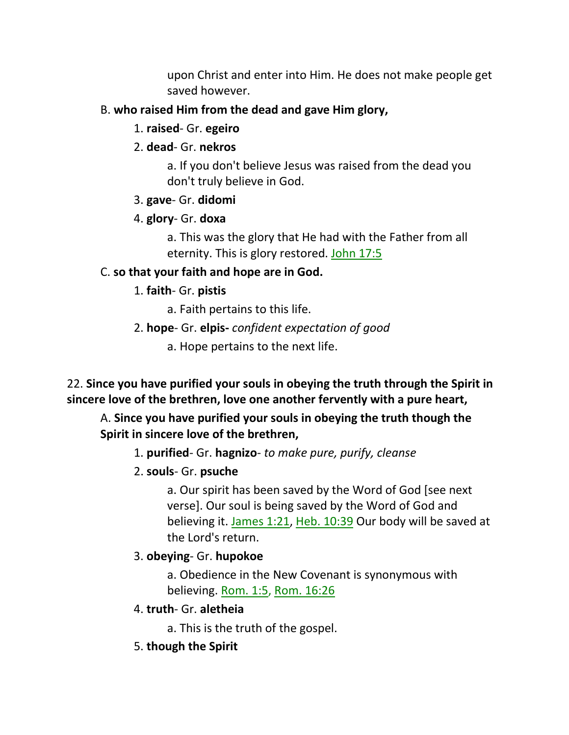upon Christ and enter into Him. He does not make people get saved however.

## B. **who raised Him from the dead and gave Him glory,**

- 1. **raised** Gr. **egeiro**
- 2. **dead** Gr. **nekros**

a. If you don't believe Jesus was raised from the dead you don't truly believe in God.

## 3. **gave**- Gr. **didomi**

# 4. **glory**- Gr. **doxa**

a. This was the glory that He had with the Father from all eternity. This is glory restored. John 17:5

# C. **so that your faith and hope are in God.**

# 1. **faith**- Gr. **pistis**

- a. Faith pertains to this life.
- 2. **hope** Gr. **elpis-** *confident expectation of good*
	- a. Hope pertains to the next life.

22. **Since you have purified your souls in obeying the truth through the Spirit in sincere love of the brethren, love one another fervently with a pure heart,**

## A. **Since you have purified your souls in obeying the truth though the Spirit in sincere love of the brethren,**

- 1. **purified** Gr. **hagnizo** *to make pure, purify, cleanse*
- 2. **souls** Gr. **psuche**

a. Our spirit has been saved by the Word of God [see next verse]. Our soul is being saved by the Word of God and believing it. James 1:21, Heb. 10:39 Our body will be saved at the Lord's return.

# 3. **obeying**- Gr. **hupokoe**

a. Obedience in the New Covenant is synonymous with believing. Rom. 1:5, Rom. 16:26

- 4. **truth** Gr. **aletheia**
	- a. This is the truth of the gospel.
- 5. **though the Spirit**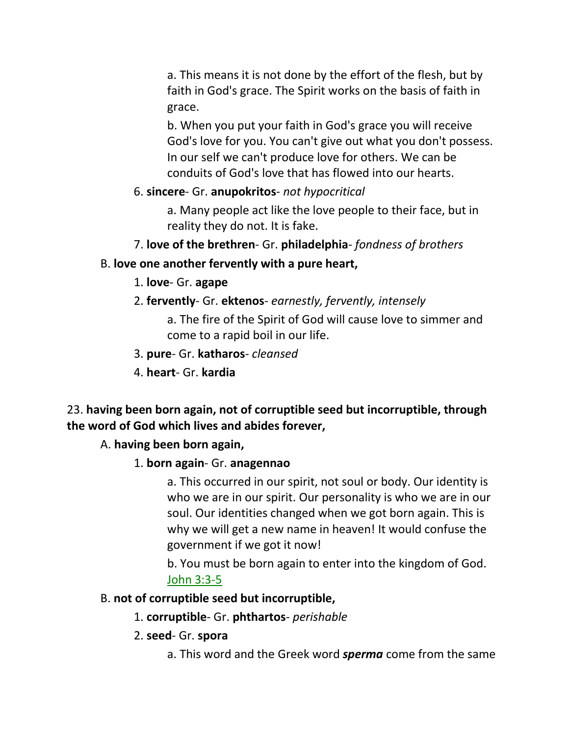a. This means it is not done by the effort of the flesh, but by faith in God's grace. The Spirit works on the basis of faith in grace.

b. When you put your faith in God's grace you will receive God's love for you. You can't give out what you don't possess. In our self we can't produce love for others. We can be conduits of God's love that has flowed into our hearts.

### 6. **sincere**- Gr. **anupokritos**- *not hypocritical*

a. Many people act like the love people to their face, but in reality they do not. It is fake.

7. **love of the brethren**- Gr. **philadelphia**- *fondness of brothers*

## B. **love one another fervently with a pure heart,**

- 1. **love** Gr. **agape**
- 2. **fervently** Gr. **ektenos** *earnestly, fervently, intensely*

a. The fire of the Spirit of God will cause love to simmer and come to a rapid boil in our life.

- 3. **pure** Gr. **katharos** *cleansed*
- 4. **heart** Gr. **kardia**

## 23. **having been born again, not of corruptible seed but incorruptible, through the word of God which lives and abides forever,**

### A. **having been born again,**

### 1. **born again**- Gr. **anagennao**

a. This occurred in our spirit, not soul or body. Our identity is who we are in our spirit. Our personality is who we are in our soul. Our identities changed when we got born again. This is why we will get a new name in heaven! It would confuse the government if we got it now!

b. You must be born again to enter into the kingdom of God. John 3:3-5

### B. **not of corruptible seed but incorruptible,**

- 1. **corruptible** Gr. **phthartos** *perishable*
- 2. **seed** Gr. **spora**
	- a. This word and the Greek word *sperma* come from the same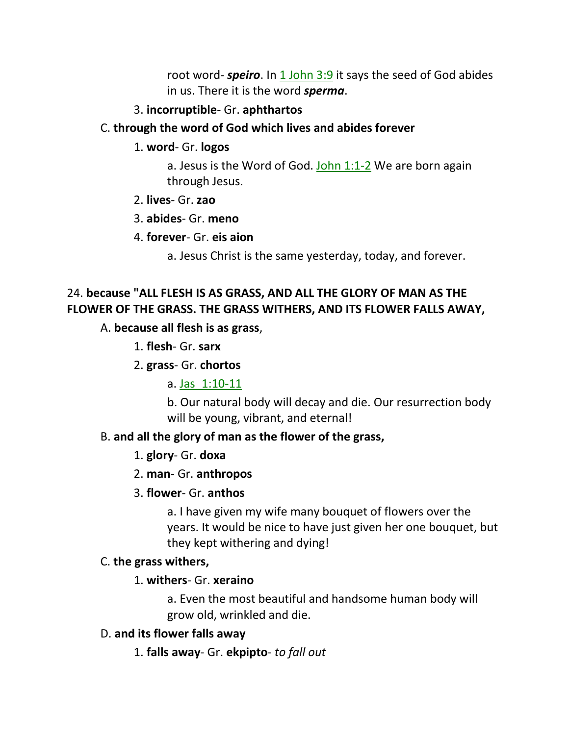root word- **speiro**. In 1 John 3:9 it says the seed of God abides in us. There it is the word *sperma*.

#### 3. **incorruptible**- Gr. **aphthartos**

#### C. **through the word of God which lives and abides forever**

1. **word**- Gr. **logos**

a. Jesus is the Word of God. John  $1:1-2$  We are born again through Jesus.

- 2. **lives** Gr. **zao**
- 3. **abides** Gr. **meno**
- 4. **forever** Gr. **eis aion**

a. Jesus Christ is the same yesterday, today, and forever.

## 24. **because "ALL FLESH IS AS GRASS, AND ALL THE GLORY OF MAN AS THE FLOWER OF THE GRASS. THE GRASS WITHERS, AND ITS FLOWER FALLS AWAY,**

#### A. **because all flesh is as grass**,

1. **flesh**- Gr. **sarx**

2. **grass**- Gr. **chortos**

a. Jas\_1:10-11

b. Our natural body will decay and die. Our resurrection body will be young, vibrant, and eternal!

#### B. **and all the glory of man as the flower of the grass,**

1. **glory**- Gr. **doxa**

#### 2. **man**- Gr. **anthropos**

#### 3. **flower**- Gr. **anthos**

a. I have given my wife many bouquet of flowers over the years. It would be nice to have just given her one bouquet, but they kept withering and dying!

#### C. **the grass withers,**

#### 1. **withers**- Gr. **xeraino**

a. Even the most beautiful and handsome human body will grow old, wrinkled and die.

#### D. **and its flower falls away**

1. **falls away**- Gr. **ekpipto**- *to fall out*